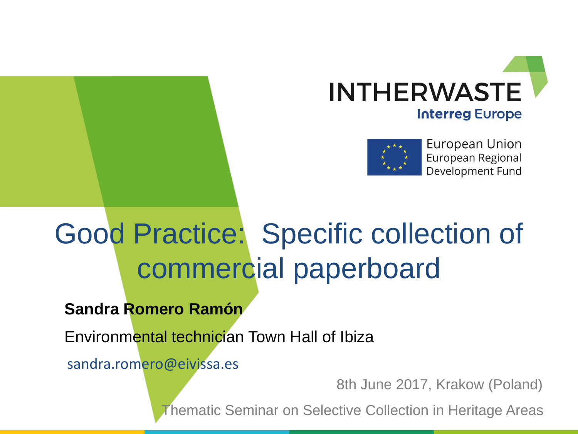



European Union European Regional Development Fund

#### Good Practice: Specific collection of commercial paperboard

**Sandra Romero Ramón**

Environmental technician Town Hall of Ibiza

sandra.romero@eivissa.es

8th June 2017, Krakow (Poland)

Thematic Seminar on Selective Collection in Heritage Areas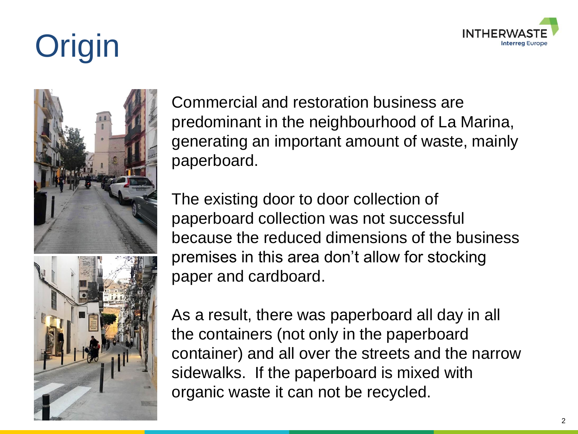

# **Origin**



Commercial and restoration business are predominant in the neighbourhood of La Marina, generating an important amount of waste, mainly paperboard.

The existing door to door collection of paperboard collection was not successful because the reduced dimensions of the business premises in this area don't allow for stocking paper and cardboard.

As a result, there was paperboard all day in all the containers (not only in the paperboard container) and all over the streets and the narrow sidewalks. If the paperboard is mixed with organic waste it can not be recycled.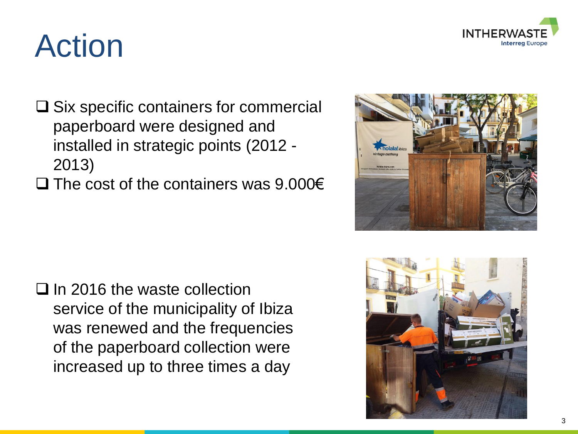

## Action

- $\square$  Six specific containers for commercial paperboard were designed and installed in strategic points (2012 - 2013)
- $\Box$  The cost of the containers was 9.000€



 $\Box$  In 2016 the waste collection service of the municipality of Ibiza was renewed and the frequencies of the paperboard collection were increased up to three times a day

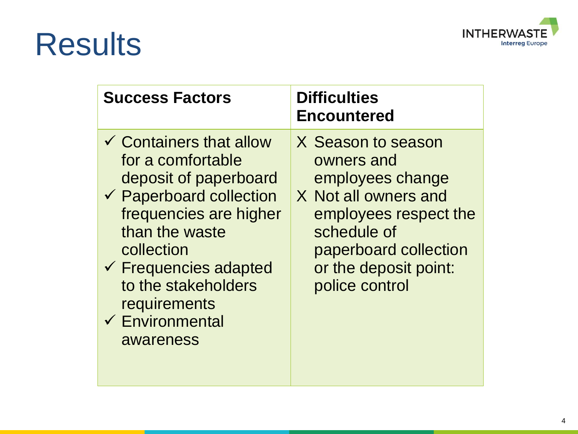#### **INTHERWAST** Έ **Interreg Europe**

### Results

| <b>Success Factors</b>                                                                                                                                                                                                                                                                                 | <b>Difficulties</b><br><b>Encountered</b>                                                                                                                                                |
|--------------------------------------------------------------------------------------------------------------------------------------------------------------------------------------------------------------------------------------------------------------------------------------------------------|------------------------------------------------------------------------------------------------------------------------------------------------------------------------------------------|
| $\checkmark$ Containers that allow<br>for a comfortable<br>deposit of paperboard<br>$\checkmark$ Paperboard collection<br>frequencies are higher<br>than the waste<br>collection<br>$\checkmark$ Frequencies adapted<br>to the stakeholders<br>requirements<br>$\checkmark$ Environmental<br>awareness | X Season to season<br>owners and<br>employees change<br>X Not all owners and<br>employees respect the<br>schedule of<br>paperboard collection<br>or the deposit point:<br>police control |